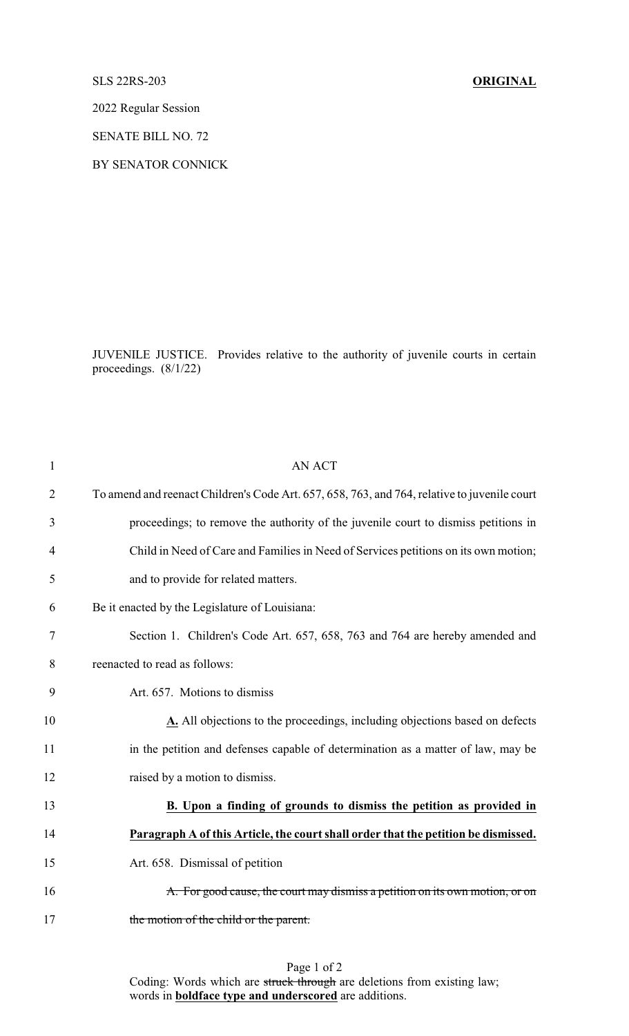## SLS 22RS-203 **ORIGINAL**

2022 Regular Session

SENATE BILL NO. 72

BY SENATOR CONNICK

JUVENILE JUSTICE. Provides relative to the authority of juvenile courts in certain proceedings. (8/1/22)

| $\mathbf{1}$   | <b>AN ACT</b>                                                                                |
|----------------|----------------------------------------------------------------------------------------------|
| $\overline{2}$ | To amend and reenact Children's Code Art. 657, 658, 763, and 764, relative to juvenile court |
| 3              | proceedings; to remove the authority of the juvenile court to dismiss petitions in           |
| 4              | Child in Need of Care and Families in Need of Services petitions on its own motion;          |
| 5              | and to provide for related matters.                                                          |
| 6              | Be it enacted by the Legislature of Louisiana:                                               |
| 7              | Section 1. Children's Code Art. 657, 658, 763 and 764 are hereby amended and                 |
| 8              | reenacted to read as follows:                                                                |
| 9              | Art. 657. Motions to dismiss                                                                 |
| 10             | A. All objections to the proceedings, including objections based on defects                  |
| 11             | in the petition and defenses capable of determination as a matter of law, may be             |
| 12             | raised by a motion to dismiss.                                                               |
| 13             | B. Upon a finding of grounds to dismiss the petition as provided in                          |
| 14             | Paragraph A of this Article, the court shall order that the petition be dismissed.           |
| 15             | Art. 658. Dismissal of petition                                                              |
| 16             | A. For good cause, the court may dismiss a petition on its own motion, or on                 |
| 17             | the motion of the child or the parent.                                                       |
|                |                                                                                              |

Coding: Words which are struck through are deletions from existing law; words in **boldface type and underscored** are additions.